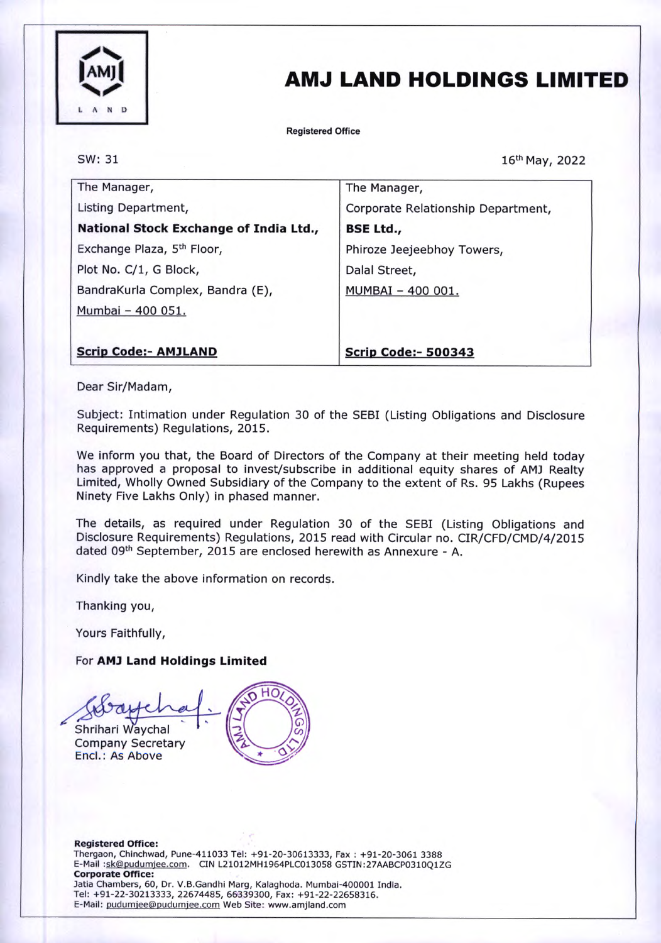

## AMJ LAND HOLDINGS LIMITED

Registered Office

SW: 31

16th May, 2022

| The Manager,                           | The Manager,                       |
|----------------------------------------|------------------------------------|
| Listing Department,                    | Corporate Relationship Department, |
| National Stock Exchange of India Ltd., | <b>BSE Ltd.,</b>                   |
| Exchange Plaza, 5 <sup>th</sup> Floor, | Phiroze Jeejeebhoy Towers,         |
| Plot No. C/1, G Block,                 | Dalal Street,                      |
| BandraKurla Complex, Bandra (E),       | MUMBAI - 400 001.                  |
| Mumbai - 400 051.                      |                                    |
|                                        |                                    |
| <b>Scrip Code:- AMJLAND</b>            | <b>Scrip Code:- 500343</b>         |

Dear Sir/Madam,

Subject: Intimation under Regulation 30 of the SEBI (Listing Obligations and Disclosure Requirements) Regulations, 2015.

We inform you that, the Board of Directors of the Company at their meeting held today has approved a proposal to invest/subscribe in additional equity shares of AMJ Realty Limited, Wholly Owned Subsidiary of the Company to the extent of Rs. 95 Lakhs (Rupees Ninety Five Lakhs Only) in phased manner.

The details, as required under Regulation 30 of the SEBI (Listing Obligations and Disclosure Requirements) Regulations, 2015 read with Circular no. CIR/CFD/CMD/4/2015 dated 09th September, 2015 are enclosed herewith as Annexure - A.

Kindly take the above information on records.

Thanking you,

Yours Faithfully,

For AM) Land Holdings Limited

но Shrihari Waychal Company Secretary Encl.: As Above

Registered Office: Thergaon, Chinchwad, Pune-411033 Tel: +91-20-30613333, Fax : +91-20-3061 3388 E-Mail :sk©pudumiee.com. CIN L21012MH1964PLC013058 GSTIN:27AABCP0310Q1ZG Corporate Office: Jatia Chambers, 60, Dr. V.B.Gandhi Marg, Kalaghoda. Mumbai-400001 India. Tel: +91-22-30213333, 22674485, 66339300, Fax: +91-22-22658316. E-Mail: pudumjee@pudumjee.com Web Site: www.amjland.com